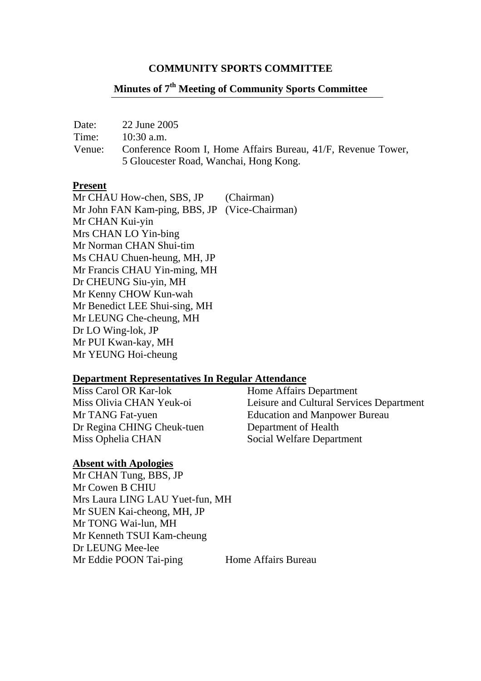#### **COMMUNITY SPORTS COMMITTEE**

# **Minutes of 7th Meeting of Community Sports Committee**

| Date:  | 22 June 2005                                                 |
|--------|--------------------------------------------------------------|
| Time:  | $10:30$ a.m.                                                 |
| Venue: | Conference Room I, Home Affairs Bureau, 41/F, Revenue Tower, |
|        | 5 Gloucester Road, Wanchai, Hong Kong.                       |

#### **Present**

Mr CHAU How-chen, SBS, JP (Chairman) Mr John FAN Kam-ping, BBS, JP (Vice-Chairman) Mr CHAN Kui-yin Mrs CHAN LO Yin-bing Mr Norman CHAN Shui-tim Ms CHAU Chuen-heung, MH, JP Mr Francis CHAU Yin-ming, MH Dr CHEUNG Siu-yin, MH Mr Kenny CHOW Kun-wah Mr Benedict LEE Shui-sing, MH Mr LEUNG Che-cheung, MH Dr LO Wing-lok, JP Mr PUI Kwan-kay, MH Mr YEUNG Hoi-cheung

#### **Department Representatives In Regular Attendance**

Miss Carol OR Kar-lok Home Affairs Department Dr Regina CHING Cheuk-tuen Department of Health Miss Ophelia CHAN Social Welfare Department

Miss Olivia CHAN Yeuk-oi Leisure and Cultural Services Department Mr TANG Fat-yuen Education and Manpower Bureau

#### **Absent with Apologies**

Mr CHAN Tung, BBS, JP Mr Cowen B CHIU Mrs Laura LING LAU Yuet-fun, MH Mr SUEN Kai-cheong, MH, JP Mr TONG Wai-lun, MH Mr Kenneth TSUI Kam-cheung Dr LEUNG Mee-lee Mr Eddie POON Tai-ping Home Affairs Bureau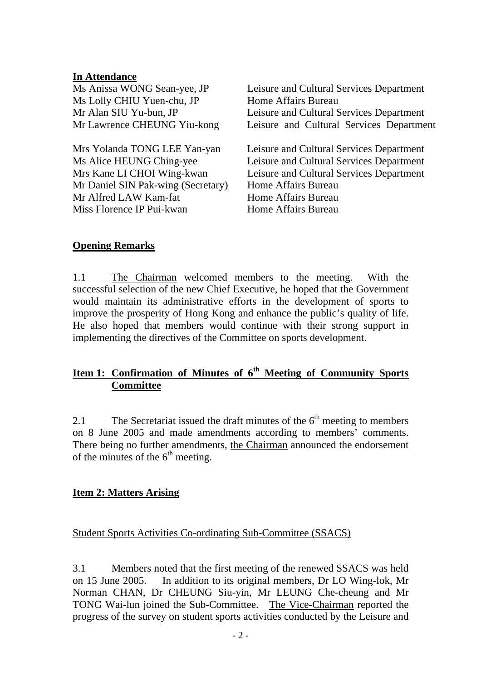#### **In Attendance**

| Ms Anissa WONG Sean-yee, JP        | Leisure and Cultural Services Department |  |
|------------------------------------|------------------------------------------|--|
| Ms Lolly CHIU Yuen-chu, JP         | Home Affairs Bureau                      |  |
| Mr Alan SIU Yu-bun, JP             | Leisure and Cultural Services Department |  |
| Mr Lawrence CHEUNG Yiu-kong        | Leisure and Cultural Services Department |  |
| Mrs Yolanda TONG LEE Yan-yan       | Leisure and Cultural Services Department |  |
| Ms Alice HEUNG Ching-yee           | Leisure and Cultural Services Department |  |
| Mrs Kane LI CHOI Wing-kwan         | Leisure and Cultural Services Department |  |
| Mr Daniel SIN Pak-wing (Secretary) | Home Affairs Bureau                      |  |
| Mr Alfred LAW Kam-fat              | Home Affairs Bureau                      |  |
| Miss Florence IP Pui-kwan          | Home Affairs Bureau                      |  |

### **Opening Remarks**

1.1 The Chairman welcomed members to the meeting. With the successful selection of the new Chief Executive, he hoped that the Government would maintain its administrative efforts in the development of sports to improve the prosperity of Hong Kong and enhance the public's quality of life. He also hoped that members would continue with their strong support in implementing the directives of the Committee on sports development.

# **Item 1: Confirmation of Minutes of 6th Meeting of Community Sports Committee**

2.1 The Secretariat issued the draft minutes of the  $6<sup>th</sup>$  meeting to members on 8 June 2005 and made amendments according to members' comments. There being no further amendments, the Chairman announced the endorsement of the minutes of the  $6<sup>th</sup>$  meeting.

### **Item 2: Matters Arising**

#### Student Sports Activities Co-ordinating Sub-Committee (SSACS)

3.1 Members noted that the first meeting of the renewed SSACS was held on 15 June 2005. In addition to its original members, Dr LO Wing-lok, Mr Norman CHAN, Dr CHEUNG Siu-yin, Mr LEUNG Che-cheung and Mr TONG Wai-lun joined the Sub-Committee. The Vice-Chairman reported the progress of the survey on student sports activities conducted by the Leisure and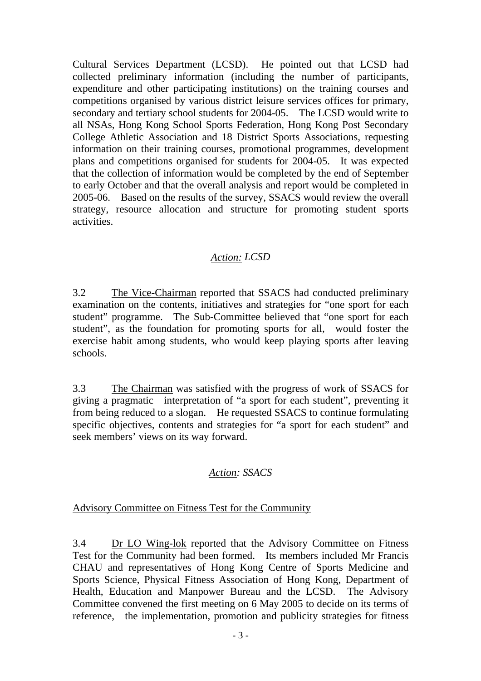Cultural Services Department (LCSD). He pointed out that LCSD had collected preliminary information (including the number of participants, expenditure and other participating institutions) on the training courses and competitions organised by various district leisure services offices for primary, secondary and tertiary school students for 2004-05. The LCSD would write to all NSAs, Hong Kong School Sports Federation, Hong Kong Post Secondary College Athletic Association and 18 District Sports Associations, requesting information on their training courses, promotional programmes, development plans and competitions organised for students for 2004-05. It was expected that the collection of information would be completed by the end of September to early October and that the overall analysis and report would be completed in 2005-06. Based on the results of the survey, SSACS would review the overall strategy, resource allocation and structure for promoting student sports activities.

# *Action: LCSD*

3.2 The Vice-Chairman reported that SSACS had conducted preliminary examination on the contents, initiatives and strategies for "one sport for each student" programme. The Sub-Committee believed that "one sport for each student", as the foundation for promoting sports for all, would foster the exercise habit among students, who would keep playing sports after leaving schools.

3.3 The Chairman was satisfied with the progress of work of SSACS for giving a pragmatic interpretation of "a sport for each student", preventing it from being reduced to a slogan. He requested SSACS to continue formulating specific objectives, contents and strategies for "a sport for each student" and seek members' views on its way forward.

# *Action: SSACS*

# Advisory Committee on Fitness Test for the Community

3.4 Dr LO Wing-lok reported that the Advisory Committee on Fitness Test for the Community had been formed. Its members included Mr Francis CHAU and representatives of Hong Kong Centre of Sports Medicine and Sports Science, Physical Fitness Association of Hong Kong, Department of Health, Education and Manpower Bureau and the LCSD. The Advisory Committee convened the first meeting on 6 May 2005 to decide on its terms of reference, the implementation, promotion and publicity strategies for fitness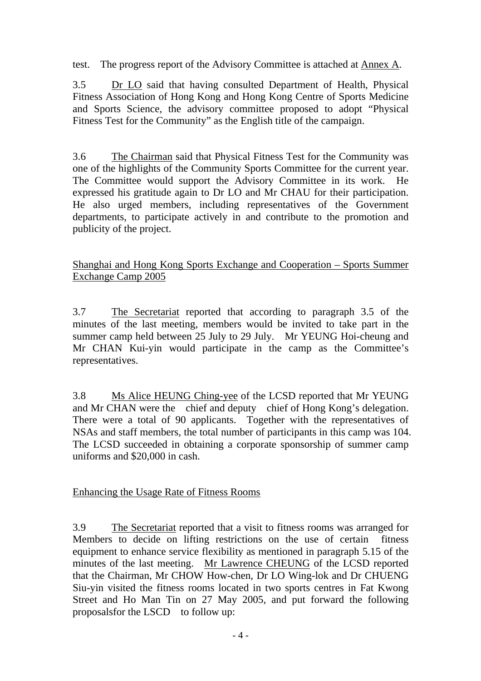test. The progress report of the Advisory Committee is attached at Annex A.

3.5 Dr LO said that having consulted Department of Health, Physical Fitness Association of Hong Kong and Hong Kong Centre of Sports Medicine and Sports Science, the advisory committee proposed to adopt "Physical Fitness Test for the Community" as the English title of the campaign.

3.6 The Chairman said that Physical Fitness Test for the Community was one of the highlights of the Community Sports Committee for the current year. The Committee would support the Advisory Committee in its work. He expressed his gratitude again to Dr LO and Mr CHAU for their participation. He also urged members, including representatives of the Government departments, to participate actively in and contribute to the promotion and publicity of the project.

Shanghai and Hong Kong Sports Exchange and Cooperation – Sports Summer Exchange Camp 2005

3.7 The Secretariat reported that according to paragraph 3.5 of the minutes of the last meeting, members would be invited to take part in the summer camp held between 25 July to 29 July. Mr YEUNG Hoi-cheung and Mr CHAN Kui-yin would participate in the camp as the Committee's representatives.

3.8 Ms Alice HEUNG Ching-yee of the LCSD reported that Mr YEUNG and Mr CHAN were the chief and deputy chief of Hong Kong's delegation. There were a total of 90 applicants. Together with the representatives of NSAs and staff members, the total number of participants in this camp was 104. The LCSD succeeded in obtaining a corporate sponsorship of summer camp uniforms and \$20,000 in cash.

# Enhancing the Usage Rate of Fitness Rooms

3.9 The Secretariat reported that a visit to fitness rooms was arranged for Members to decide on lifting restrictions on the use of certain fitness equipment to enhance service flexibility as mentioned in paragraph 5.15 of the minutes of the last meeting. Mr Lawrence CHEUNG of the LCSD reported that the Chairman, Mr CHOW How-chen, Dr LO Wing-lok and Dr CHUENG Siu-yin visited the fitness rooms located in two sports centres in Fat Kwong Street and Ho Man Tin on 27 May 2005, and put forward the following proposals for the LSCD to follow up: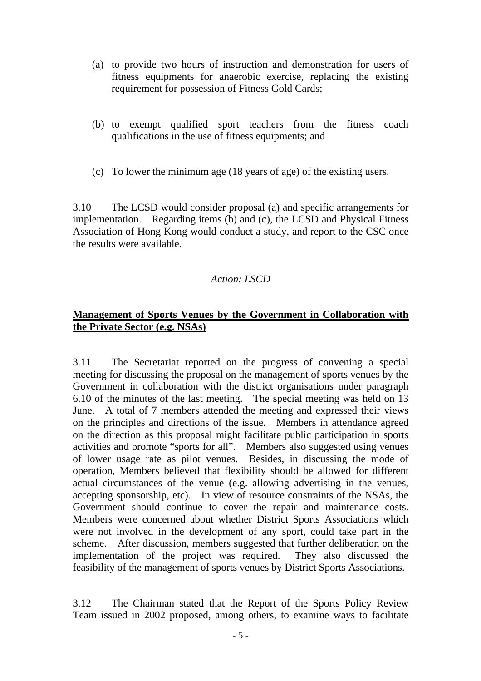- (a) to provide two hours of instruction and demonstration for users of fitness equipments for anaerobic exercise, replacing the existing requirement for possession of Fitness Gold Cards;
- (b) to exempt qualified sport teachers from the fitness coach qualifications in the use of fitness equipments; and
- (c) To lower the minimum age (18 years of age) of the existing users.

3.10 The LCSD would consider proposal (a) and specific arrangements for implementation. Regarding items (b) and (c), the LCSD and Physical Fitness Association of Hong Kong would conduct a study, and report to the CSC once the results were available.

# *Action: LSCD*

# **Management of Sports Venues by the Government in Collaboration with the Private Sector (e.g. NSAs)**

3.11 The Secretariat reported on the progress of convening a special meeting for discussing the proposal on the management of sports venues by the Government in collaboration with the district organisations under paragraph 6.10 of the minutes of the last meeting. The special meeting was held on 13 June. A total of 7 members attended the meeting and expressed their views on the principles and directions of the issue. Members in attendance agreed on the direction as this proposal might facilitate public participation in sports activities and promote "sports for all". Members also suggested using venues of lower usage rate as pilot venues. Besides, in discussing the mode of operation, Members believed that flexibility should be allowed for different actual circumstances of the venue (e.g. allowing advertising in the venues, accepting sponsorship, etc). In view of resource constraints of the NSAs, the Government should continue to cover the repair and maintenance costs. Members were concerned about whether District Sports Associations which were not involved in the development of any sport, could take part in the scheme. After discussion, members suggested that further deliberation on the implementation of the project was required. They also discussed the feasibility of the management of sports venues by District Sports Associations.

3.12 The Chairman stated that the Report of the Sports Policy Review Team issued in 2002 proposed, among others, to examine ways to facilitate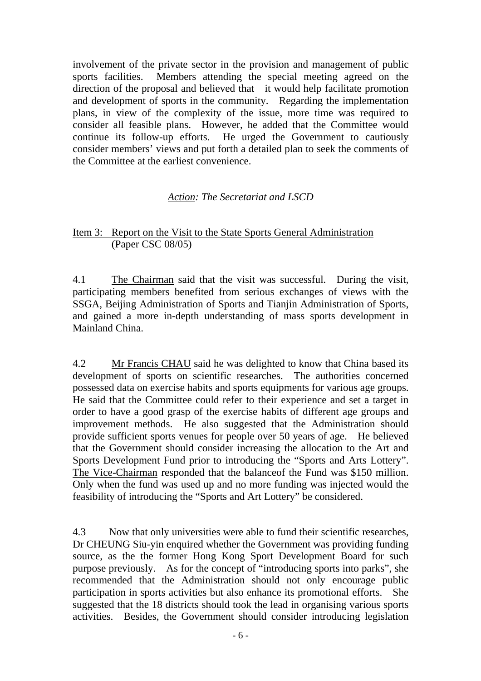involvement of the private sector in the provision and management of public sports facilities. Members attending the special meeting agreed on the direction of the proposal and believed that it would help facilitate promotion and development of sports in the community. Regarding the implementation plans, in view of the complexity of the issue, more time was required to consider all feasible plans. However, he added that the Committee would continue its follow-up efforts. He urged the Government to cautiously consider members' views and put forth a detailed plan to seek the comments of the Committee at the earliest convenience.

# *Action: The Secretariat and LSCD*

#### Item 3: Report on the Visit to the State Sports General Administration (Paper CSC 08/05)

4.1 The Chairman said that the visit was successful. During the visit, participating members benefited from serious exchanges of views with the SSGA, Beijing Administration of Sports and Tianjin Administration of Sports, and gained a more in-depth understanding of mass sports development in Mainland China.

4.2 Mr Francis CHAU said he was delighted to know that China based its development of sports on scientific researches. The authorities concerned possessed data on exercise habits and sports equipments for various age groups. He said that the Committee could refer to their experience and set a target in order to have a good grasp of the exercise habits of different age groups and improvement methods. He also suggested that the Administration should provide sufficient sports venues for people over 50 years of age. He believed that the Government should consider increasing the allocation to the Art and Sports Development Fund prior to introducing the "Sports and Arts Lottery". The Vice-Chairman responded that the balanceof the Fund was \$150 million. Only when the fund was used up and no more funding was injected would the feasibility of introducing the "Sports and Art Lottery" be considered.

4.3 Now that only universities were able to fund their scientific researches, Dr CHEUNG Siu-yin enquired whether the Government was providing funding source, as the the former Hong Kong Sport Development Board for such purpose previously. As for the concept of "introducing sports into parks", she recommended that the Administration should not only encourage public participation in sports activities but also enhance its promotional efforts. She suggested that the 18 districts should took the lead in organising various sports activities. Besides, the Government should consider introducing legislation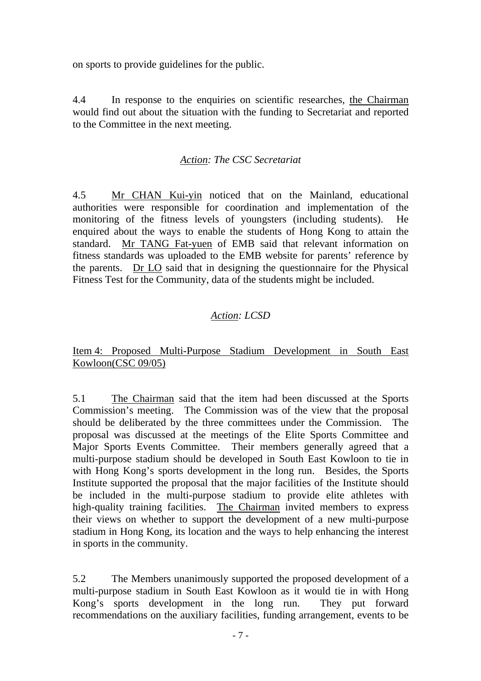on sports to provide guidelines for the public.

4.4 In response to the enquiries on scientific researches, the Chairman would find out about the situation with the funding to Secretariat and reported to the Committee in the next meeting.

# *Action: The CSC Secretariat*

4.5 Mr CHAN Kui-yin noticed that on the Mainland, educational authorities were responsible for coordination and implementation of the monitoring of the fitness levels of youngsters (including students). He enquired about the ways to enable the students of Hong Kong to attain the standard. Mr TANG Fat-yuen of EMB said that relevant information on fitness standards was uploaded to the EMB website for parents' reference by the parents. Dr LO said that in designing the questionnaire for the Physical Fitness Test for the Community, data of the students might be included.

# *Action: LCSD*

Item 4: Proposed Multi-Purpose Stadium Development in South East Kowloon(CSC 09/05)

5.1 The Chairman said that the item had been discussed at the Sports Commission's meeting. The Commission was of the view that the proposal should be deliberated by the three committees under the Commission. The proposal was discussed at the meetings of the Elite Sports Committee and Major Sports Events Committee. Their members generally agreed that a multi-purpose stadium should be developed in South East Kowloon to tie in with Hong Kong's sports development in the long run. Besides, the Sports Institute supported the proposal that the major facilities of the Institute should be included in the multi-purpose stadium to provide elite athletes with high-quality training facilities. The Chairman invited members to express their views on whether to support the development of a new multi-purpose stadium in Hong Kong, its location and the ways to help enhancing the interest in sports in the community.

5.2 The Members unanimously supported the proposed development of a multi-purpose stadium in South East Kowloon as it would tie in with Hong Kong's sports development in the long run. They put forward recommendations on the auxiliary facilities, funding arrangement, events to be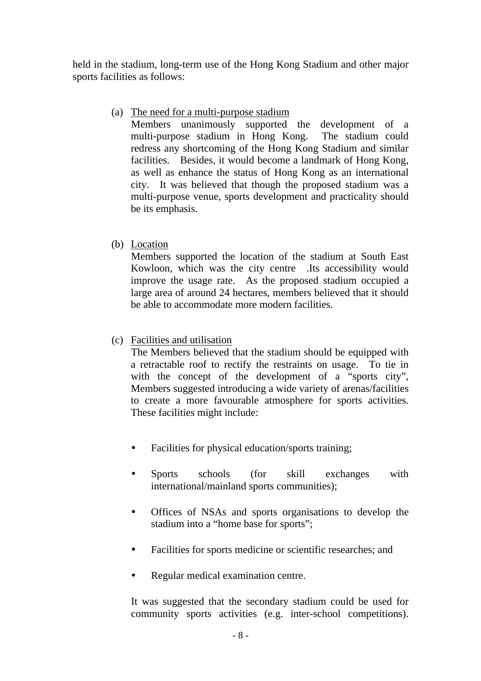held in the stadium, long-term use of the Hong Kong Stadium and other major sports facilities as follows:

## (a) The need for a multi-purpose stadium

 Members unanimously supported the development of a multi-purpose stadium in Hong Kong. The stadium could redress any shortcoming of the Hong Kong Stadium and similar facilities. Besides, it would become a landmark of Hong Kong, as well as enhance the status of Hong Kong as an international city. It was believed that though the proposed stadium was a multi-purpose venue, sports development and practicality should be its emphasis.

# (b) Location

 Members supported the location of the stadium at South East Kowloon, which was the city centre .Its accessibility would improve the usage rate. As the proposed stadium occupied a large area of around 24 hectares, members believed that it should be able to accommodate more modern facilities.

# (c) Facilities and utilisation

 The Members believed that the stadium should be equipped with a retractable roof to rectify the restraints on usage. To tie in with the concept of the development of a "sports city", Members suggested introducing a wide variety of arenas/facilities to create a more favourable atmosphere for sports activities. These facilities might include:

- Facilities for physical education/sports training;
- Sports schools (for skill exchanges with international/mainland sports communities);
- y Offices of NSAs and sports organisations to develop the stadium into a "home base for sports";
- Facilities for sports medicine or scientific researches; and
- Regular medical examination centre.

It was suggested that the secondary stadium could be used for community sports activities (e.g. inter-school competitions).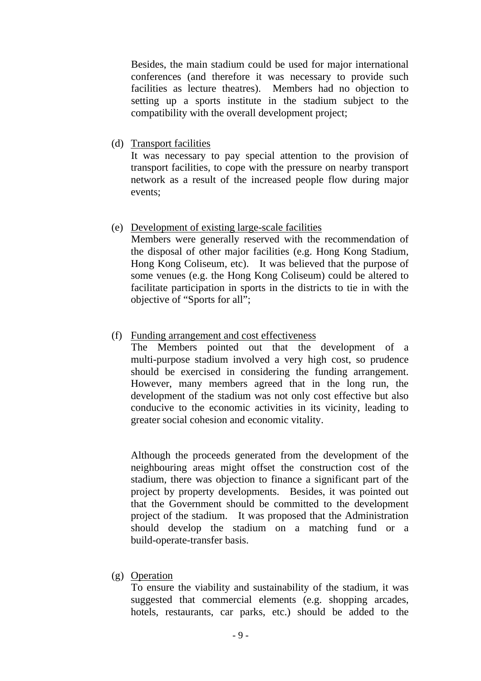Besides, the main stadium could be used for major international conferences (and therefore it was necessary to provide such facilities as lecture theatres). Members had no objection to setting up a sports institute in the stadium subject to the compatibility with the overall development project;

(d) Transport facilities

 It was necessary to pay special attention to the provision of transport facilities, to cope with the pressure on nearby transport network as a result of the increased people flow during major events;

(e) Development of existing large-scale facilities

 Members were generally reserved with the recommendation of the disposal of other major facilities (e.g. Hong Kong Stadium, Hong Kong Coliseum, etc). It was believed that the purpose of some venues (e.g. the Hong Kong Coliseum) could be altered to facilitate participation in sports in the districts to tie in with the objective of "Sports for all";

(f) Funding arrangement and cost effectiveness

 The Members pointed out that the development of a multi-purpose stadium involved a very high cost, so prudence should be exercised in considering the funding arrangement. However, many members agreed that in the long run, the development of the stadium was not only cost effective but also conducive to the economic activities in its vicinity, leading to greater social cohesion and economic vitality.

 Although the proceeds generated from the development of the neighbouring areas might offset the construction cost of the stadium, there was objection to finance a significant part of the project by property developments. Besides, it was pointed out that the Government should be committed to the development project of the stadium. It was proposed that the Administration should develop the stadium on a matching fund or a build-operate-transfer basis.

(g) Operation

 To ensure the viability and sustainability of the stadium, it was suggested that commercial elements (e.g. shopping arcades, hotels, restaurants, car parks, etc.) should be added to the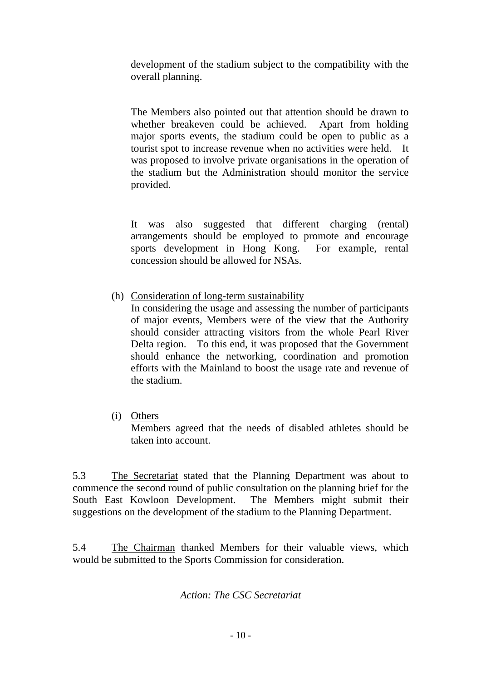development of the stadium subject to the compatibility with the overall planning.

 The Members also pointed out that attention should be drawn to whether breakeven could be achieved. Apart from holding major sports events, the stadium could be open to public as a tourist spot to increase revenue when no activities were held. It was proposed to involve private organisations in the operation of the stadium but the Administration should monitor the service provided.

 It was also suggested that different charging (rental) arrangements should be employed to promote and encourage sports development in Hong Kong. For example, rental concession should be allowed for NSAs.

(h) Consideration of long-term sustainability

 In considering the usage and assessing the number of participants of major events, Members were of the view that the Authority should consider attracting visitors from the whole Pearl River Delta region. To this end, it was proposed that the Government should enhance the networking, coordination and promotion efforts with the Mainland to boost the usage rate and revenue of the stadium.

(i) Others

 Members agreed that the needs of disabled athletes should be taken into account.

5.3 The Secretariat stated that the Planning Department was about to commence the second round of public consultation on the planning brief for the South East Kowloon Development. The Members might submit their suggestions on the development of the stadium to the Planning Department.

5.4 The Chairman thanked Members for their valuable views, which would be submitted to the Sports Commission for consideration.

### *Action: The CSC Secretariat*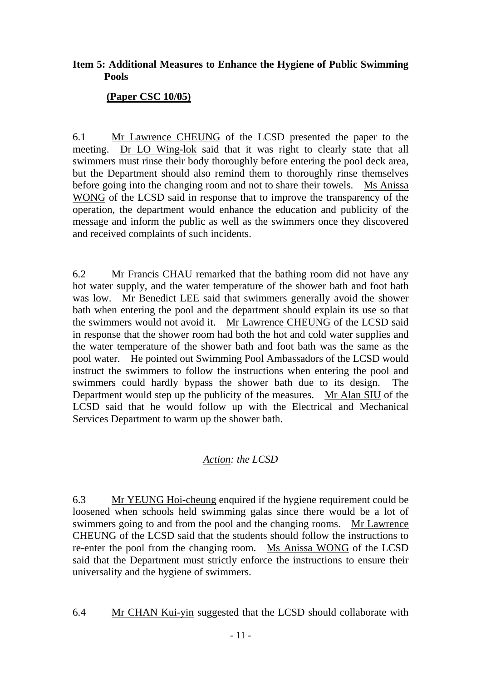# **Item 5: Additional Measures to Enhance the Hygiene of Public Swimming Pools**

## **(Paper CSC 10/05)**

6.1 Mr Lawrence CHEUNG of the LCSD presented the paper to the meeting. Dr LO Wing-lok said that it was right to clearly state that all swimmers must rinse their body thoroughly before entering the pool deck area, but the Department should also remind them to thoroughly rinse themselves before going into the changing room and not to share their towels. Ms Anissa WONG of the LCSD said in response that to improve the transparency of the operation, the department would enhance the education and publicity of the message and inform the public as well as the swimmers once they discovered and received complaints of such incidents.

6.2 Mr Francis CHAU remarked that the bathing room did not have any hot water supply, and the water temperature of the shower bath and foot bath was low. Mr Benedict LEE said that swimmers generally avoid the shower bath when entering the pool and the department should explain its use so that the swimmers would not avoid it. Mr Lawrence CHEUNG of the LCSD said in response that the shower room had both the hot and cold water supplies and the water temperature of the shower bath and foot bath was the same as the pool water. He pointed out Swimming Pool Ambassadors of the LCSD would instruct the swimmers to follow the instructions when entering the pool and swimmers could hardly bypass the shower bath due to its design. The Department would step up the publicity of the measures. Mr Alan SIU of the LCSD said that he would follow up with the Electrical and Mechanical Services Department to warm up the shower bath.

# *Action: the LCSD*

6.3 Mr YEUNG Hoi-cheung enquired if the hygiene requirement could be loosened when schools held swimming galas since there would be a lot of swimmers going to and from the pool and the changing rooms. Mr Lawrence CHEUNG of the LCSD said that the students should follow the instructions to re-enter the pool from the changing room. Ms Anissa WONG of the LCSD said that the Department must strictly enforce the instructions to ensure their universality and the hygiene of swimmers.

6.4 Mr CHAN Kui-yin suggested that the LCSD should collaborate with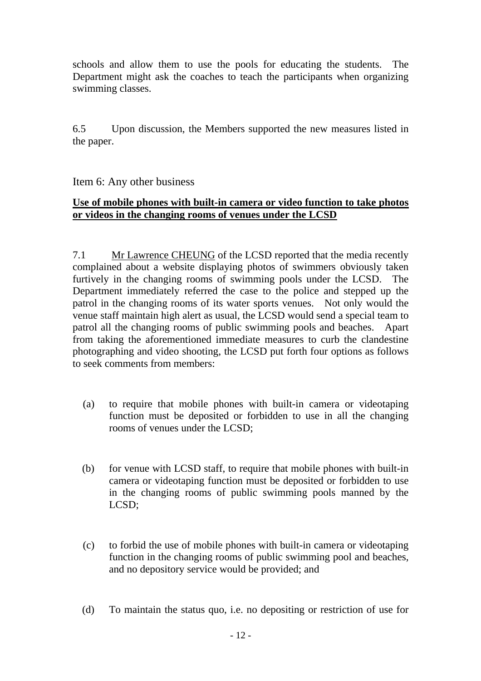schools and allow them to use the pools for educating the students. The Department might ask the coaches to teach the participants when organizing swimming classes.

6.5 Upon discussion, the Members supported the new measures listed in the paper.

### Item 6: Any other business

### **Use of mobile phones with built-in camera or video function to take photos or videos in the changing rooms of venues under the LCSD**

7.1 Mr Lawrence CHEUNG of the LCSD reported that the media recently complained about a website displaying photos of swimmers obviously taken furtively in the changing rooms of swimming pools under the LCSD. The Department immediately referred the case to the police and stepped up the patrol in the changing rooms of its water sports venues. Not only would the venue staff maintain high alert as usual, the LCSD would send a special team to patrol all the changing rooms of public swimming pools and beaches. Apart from taking the aforementioned immediate measures to curb the clandestine photographing and video shooting, the LCSD put forth four options as follows to seek comments from members:

- (a) to require that mobile phones with built-in camera or videotaping function must be deposited or forbidden to use in all the changing rooms of venues under the LCSD;
- (b) for venue with LCSD staff, to require that mobile phones with built-in camera or videotaping function must be deposited or forbidden to use in the changing rooms of public swimming pools manned by the LCSD;
- (c) to forbid the use of mobile phones with built-in camera or videotaping function in the changing rooms of public swimming pool and beaches, and no depository service would be provided; and
- (d) To maintain the status quo, i.e. no depositing or restriction of use for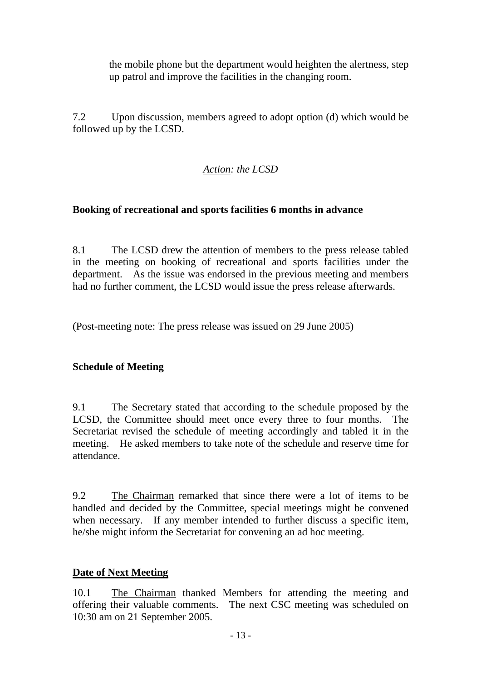the mobile phone but the department would heighten the alertness, step up patrol and improve the facilities in the changing room.

7.2 Upon discussion, members agreed to adopt option (d) which would be followed up by the LCSD.

# *Action: the LCSD*

# **Booking of recreational and sports facilities 6 months in advance**

8.1 The LCSD drew the attention of members to the press release tabled in the meeting on booking of recreational and sports facilities under the department. As the issue was endorsed in the previous meeting and members had no further comment, the LCSD would issue the press release afterwards.

(Post-meeting note: The press release was issued on 29 June 2005)

### **Schedule of Meeting**

9.1 The Secretary stated that according to the schedule proposed by the LCSD, the Committee should meet once every three to four months. The Secretariat revised the schedule of meeting accordingly and tabled it in the meeting. He asked members to take note of the schedule and reserve time for attendance.

9.2 The Chairman remarked that since there were a lot of items to be handled and decided by the Committee, special meetings might be convened when necessary. If any member intended to further discuss a specific item, he/she might inform the Secretariat for convening an ad hoc meeting.

### **Date of Next Meeting**

10.1 The Chairman thanked Members for attending the meeting and offering their valuable comments. The next CSC meeting was scheduled on 10:30 am on 21 September 2005.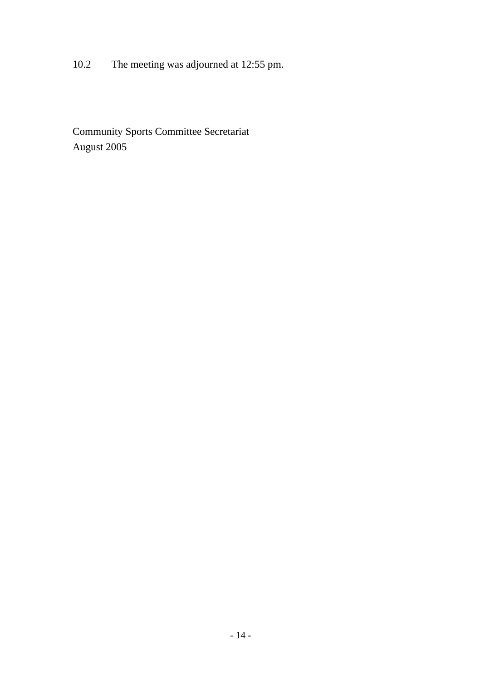10.2 The meeting was adjourned at 12:55 pm.

Community Sports Committee Secretariat August 2005